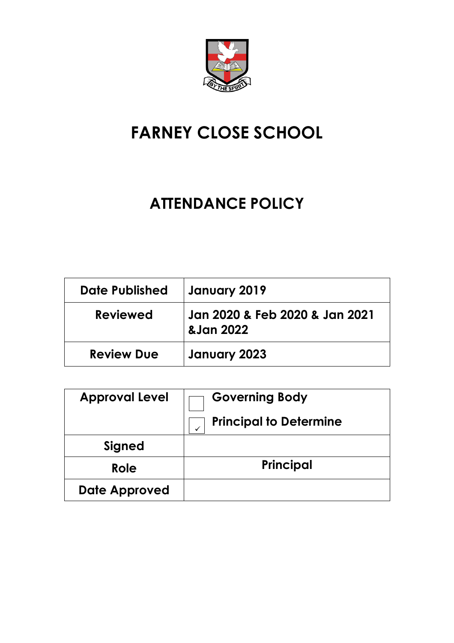

# **FARNEY CLOSE SCHOOL**

## **ATTENDANCE POLICY**

| <b>Date Published</b> | January 2019                                |
|-----------------------|---------------------------------------------|
| <b>Reviewed</b>       | Jan 2020 & Feb 2020 & Jan 2021<br>&Jan 2022 |
| <b>Review Due</b>     | January 2023                                |

| <b>Approval Level</b> | <b>Governing Body</b>         |
|-----------------------|-------------------------------|
|                       | <b>Principal to Determine</b> |
| Signed                |                               |
| Role                  | Principal                     |
| Date Approved         |                               |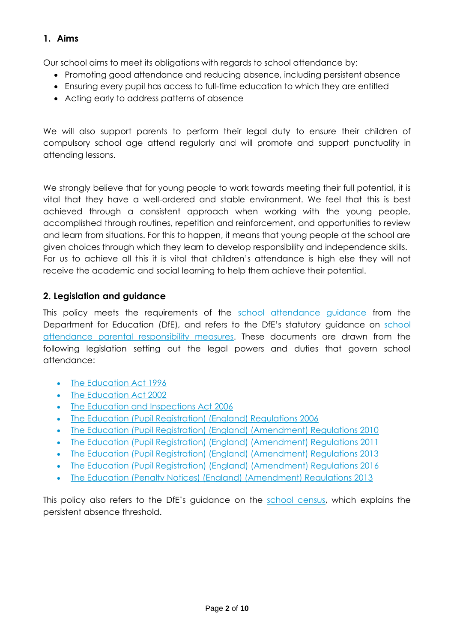## **1. Aims**

Our school aims to meet its obligations with regards to school attendance by:

- Promoting good attendance and reducing absence, including persistent absence
- Ensuring every pupil has access to full-time education to which they are entitled
- Acting early to address patterns of absence

We will also support parents to perform their legal duty to ensure their children of compulsory school age attend regularly and will promote and support punctuality in attending lessons.

We strongly believe that for young people to work towards meeting their full potential, it is vital that they have a well-ordered and stable environment. We feel that this is best achieved through a consistent approach when working with the young people, accomplished through routines, repetition and reinforcement, and opportunities to review and learn from situations. For this to happen, it means that young people at the school are given choices through which they learn to develop responsibility and independence skills. For us to achieve all this it is vital that children's attendance is high else they will not receive the academic and social learning to help them achieve their potential.

## **2. Legislation and guidance**

This policy meets the requirements of the [school attendance guidance](https://www.gov.uk/government/publications/school-attendance) from the Department for Education (DfE), and refers to the DfE's statutory guidance on [school](https://www.gov.uk/government/publications/parental-responsibility-measures-for-behaviour-and-attendance)  [attendance parental responsibility measures.](https://www.gov.uk/government/publications/parental-responsibility-measures-for-behaviour-and-attendance) These documents are drawn from the following legislation setting out the legal powers and duties that govern school attendance:

- [The Education Act 1996](https://www.legislation.gov.uk/ukpga/1996/56/part/VI/chapter/II)
- [The Education Act 2002](http://www.legislation.gov.uk/ukpga/2002/32/part/3/chapter/3)
- [The Education and Inspections Act 2006](http://www.legislation.gov.uk/ukpga/2006/40/part/7/chapter/2/crossheading/school-attendance)
- [The Education \(Pupil Registration\) \(England\) Regulations 2006](http://www.legislation.gov.uk/uksi/2006/1751/contents/made)
- [The Education \(Pupil Registration\) \(England\) \(Amendment\) Regulations 2010](http://www.centralbedfordshire.gov.uk/Images/amendment-regulation-2010_tcm3-8642.pdf)
- [The Education \(Pupil Registration\) \(England\) \(Amendment\) Regulations 2011](http://www.legislation.gov.uk/uksi/2011/1625/made)
- [The Education \(Pupil Registration\) \(England\) \(Amendment\) Regulations 2013](http://www.legislation.gov.uk/uksi/2013/756/made)
- [The Education \(Pupil Registration\) \(England\) \(Amendment\) Regulations 2016](http://legislation.data.gov.uk/uksi/2016/792/made/data.html)
- [The Education \(Penalty Notices\) \(England\) \(Amendment\) Regulations 2013](http://www.legislation.gov.uk/uksi/2013/756/pdfs/uksiem_20130756_en.pdf)

This policy also refers to the DfE's guidance on the [school census,](https://www.gov.uk/government/publications/school-census-2017-to-2018-guide-for-schools-and-las) which explains the persistent absence threshold.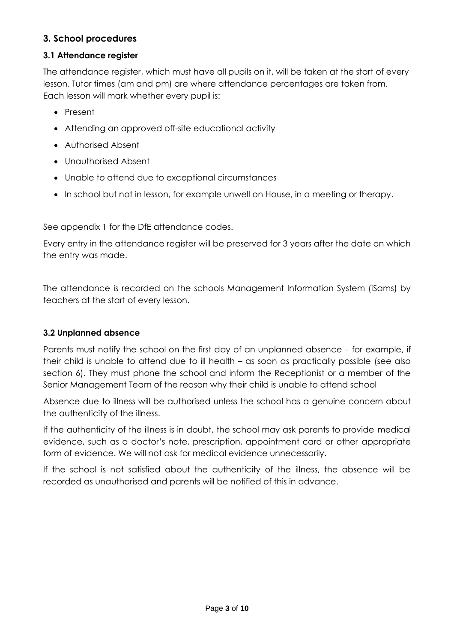## **3. School procedures**

#### **3.1 Attendance register**

The attendance register, which must have all pupils on it, will be taken at the start of every lesson. Tutor times (am and pm) are where attendance percentages are taken from. Each lesson will mark whether every pupil is:

- Present
- Attending an approved off-site educational activity
- Authorised Absent
- Unauthorised Absent
- Unable to attend due to exceptional circumstances
- In school but not in lesson, for example unwell on House, in a meeting or therapy.

See appendix 1 for the DfE attendance codes.

Every entry in the attendance register will be preserved for 3 years after the date on which the entry was made.

The attendance is recorded on the schools Management Information System (iSams) by teachers at the start of every lesson.

## **3.2 Unplanned absence**

Parents must notify the school on the first day of an unplanned absence – for example, if their child is unable to attend due to ill health – as soon as practically possible (see also section 6). They must phone the school and inform the Receptionist or a member of the Senior Management Team of the reason why their child is unable to attend school

Absence due to illness will be authorised unless the school has a genuine concern about the authenticity of the illness.

If the authenticity of the illness is in doubt, the school may ask parents to provide medical evidence, such as a doctor's note, prescription, appointment card or other appropriate form of evidence. We will not ask for medical evidence unnecessarily.

If the school is not satisfied about the authenticity of the illness, the absence will be recorded as unauthorised and parents will be notified of this in advance.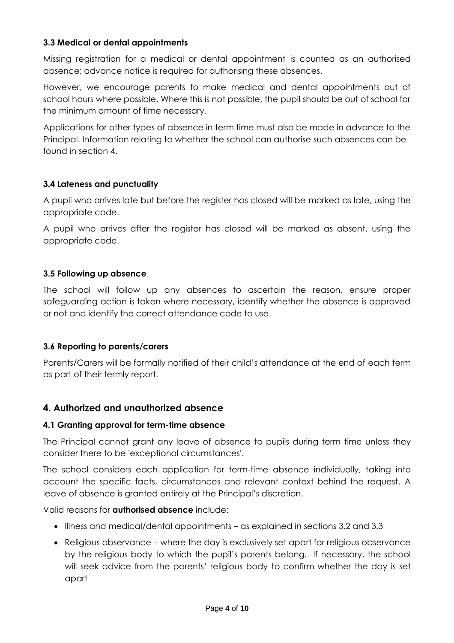#### **3.3 Medical or dental appointments**

Missing registration for a medical or dental appointment is counted as an authorised absence; advance notice is required for authorising these absences.

However, we encourage parents to make medical and dental appointments out of school hours where possible. Where this is not possible, the pupil should be out of school for the minimum amount of time necessary.

Applications for other types of absence in term time must also be made in advance to the Principal. Information relating to whether the school can authorise such absences can be found in section 4.

## **3.4 Lateness and punctuality**

A pupil who arrives late but before the register has closed will be marked as late, using the appropriate code.

A pupil who arrives after the register has closed will be marked as absent, using the appropriate code.

#### **3.5 Following up absence**

The school will follow up any absences to ascertain the reason, ensure proper safeguarding action is taken where necessary, identify whether the absence is approved or not and identify the correct attendance code to use.

#### **3.6 Reporting to parents/carers**

Parents/Carers will be formally notified of their child's attendance at the end of each term as part of their termly report.

## **4. Authorized and unauthorized absence**

#### **4.1 Granting approval for term-time absence**

The Principal cannot grant any leave of absence to pupils during term time unless they consider there to be 'exceptional circumstances'.

The school considers each application for term-time absence individually, taking into account the specific facts, circumstances and relevant context behind the request. A leave of absence is granted entirely at the Principal's discretion.

Valid reasons for **authorised absence** include:

- Illness and medical/dental appointments as explained in sections 3.2 and 3.3
- Religious observance where the day is exclusively set apart for religious observance by the religious body to which the pupil's parents belong. If necessary, the school will seek advice from the parents' religious body to confirm whether the day is set apart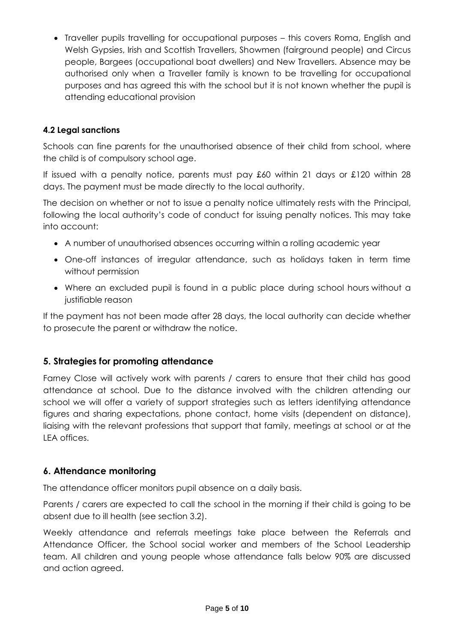• Traveller pupils travelling for occupational purposes – this covers Roma, English and Welsh Gypsies, Irish and Scottish Travellers, Showmen (fairground people) and Circus people, Bargees (occupational boat dwellers) and New Travellers. Absence may be authorised only when a Traveller family is known to be travelling for occupational purposes and has agreed this with the school but it is not known whether the pupil is attending educational provision

## **4.2 Legal sanctions**

Schools can fine parents for the unauthorised absence of their child from school, where the child is of compulsory school age.

If issued with a penalty notice, parents must pay £60 within 21 days or £120 within 28 days. The payment must be made directly to the local authority.

The decision on whether or not to issue a penalty notice ultimately rests with the Principal, following the local authority's code of conduct for issuing penalty notices. This may take into account:

- A number of unauthorised absences occurring within a rolling academic year
- One-off instances of irregular attendance, such as holidays taken in term time without permission
- Where an excluded pupil is found in a public place during school hours without a justifiable reason

If the payment has not been made after 28 days, the local authority can decide whether to prosecute the parent or withdraw the notice.

## **5. Strategies for promoting attendance**

Farney Close will actively work with parents / carers to ensure that their child has good attendance at school. Due to the distance involved with the children attending our school we will offer a variety of support strategies such as letters identifying attendance figures and sharing expectations, phone contact, home visits (dependent on distance), liaising with the relevant professions that support that family, meetings at school or at the LEA offices.

## **6. Attendance monitoring**

The attendance officer monitors pupil absence on a daily basis.

Parents / carers are expected to call the school in the morning if their child is going to be absent due to ill health (see section 3.2).

Weekly attendance and referrals meetings take place between the Referrals and Attendance Officer, the School social worker and members of the School Leadership team. All children and young people whose attendance falls below 90% are discussed and action agreed.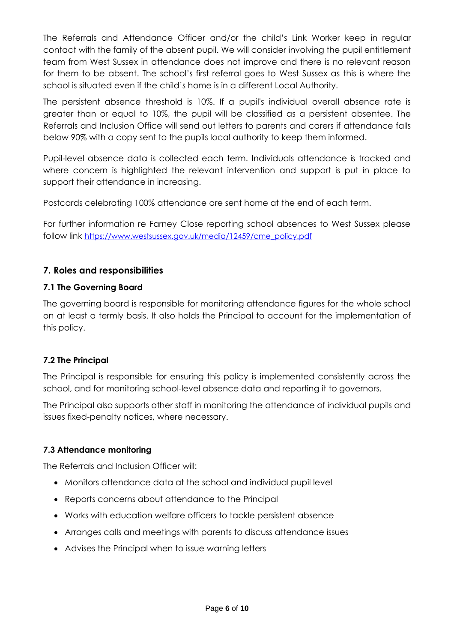The Referrals and Attendance Officer and/or the child's Link Worker keep in regular contact with the family of the absent pupil. We will consider involving the pupil entitlement team from West Sussex in attendance does not improve and there is no relevant reason for them to be absent. The school's first referral goes to West Sussex as this is where the school is situated even if the child's home is in a different Local Authority.

The persistent absence threshold is 10%. If a pupil's individual overall absence rate is greater than or equal to 10%, the pupil will be classified as a persistent absentee. The Referrals and Inclusion Office will send out letters to parents and carers if attendance falls below 90% with a copy sent to the pupils local authority to keep them informed.

Pupil-level absence data is collected each term. Individuals attendance is tracked and where concern is highlighted the relevant intervention and support is put in place to support their attendance in increasing.

Postcards celebrating 100% attendance are sent home at the end of each term.

For further information re Farney Close reporting school absences to West Sussex please follow link [https://www.westsussex.gov.uk/media/12459/cme\\_policy.pdf](https://www.westsussex.gov.uk/media/12459/cme_policy.pdf)

## **7. Roles and responsibilities**

#### **7.1 The Governing Board**

The governing board is responsible for monitoring attendance figures for the whole school on at least a termly basis. It also holds the Principal to account for the implementation of this policy.

## **7.2 The Principal**

The Principal is responsible for ensuring this policy is implemented consistently across the school, and for monitoring school-level absence data and reporting it to governors.

The Principal also supports other staff in monitoring the attendance of individual pupils and issues fixed-penalty notices, where necessary.

#### **7.3 Attendance monitoring**

The Referrals and Inclusion Officer will:

- Monitors attendance data at the school and individual pupil level
- Reports concerns about attendance to the Principal
- Works with education welfare officers to tackle persistent absence
- Arranges calls and meetings with parents to discuss attendance issues
- Advises the Principal when to issue warning letters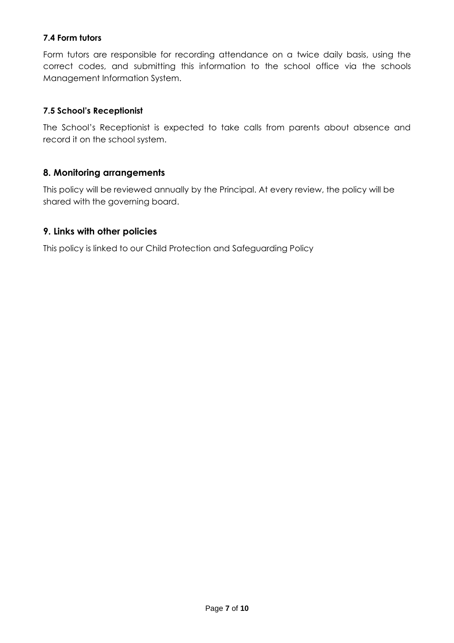#### **7.4 Form tutors**

Form tutors are responsible for recording attendance on a twice daily basis, using the correct codes, and submitting this information to the school office via the schools Management Information System.

#### **7.5 School's Receptionist**

The School's Receptionist is expected to take calls from parents about absence and record it on the school system.

#### **8. Monitoring arrangements**

This policy will be reviewed annually by the Principal. At every review, the policy will be shared with the governing board.

#### **9. Links with other policies**

This policy is linked to our Child Protection and Safeguarding Policy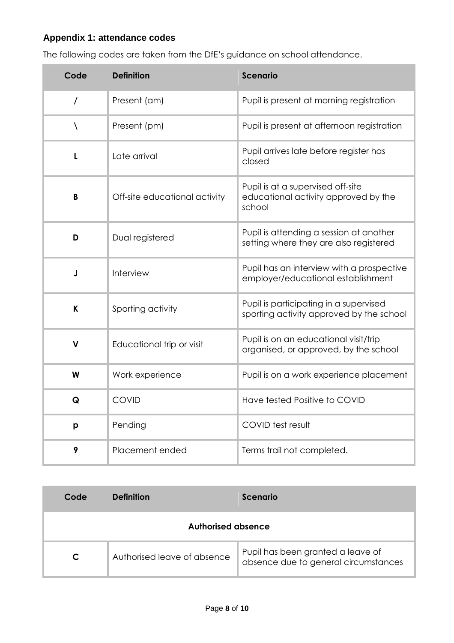## **Appendix 1: attendance codes**

| Code        | <b>Definition</b>             | <b>Scenario</b>                                                                     |
|-------------|-------------------------------|-------------------------------------------------------------------------------------|
| $\prime$    | Present (am)                  | Pupil is present at morning registration                                            |
| N           | Present (pm)                  | Pupil is present at afternoon registration                                          |
| L           | Late arrival                  | Pupil arrives late before register has<br>closed                                    |
| B           | Off-site educational activity | Pupil is at a supervised off-site<br>educational activity approved by the<br>school |
| D           | Dual registered               | Pupil is attending a session at another<br>setting where they are also registered   |
| J           | Interview                     | Pupil has an interview with a prospective<br>employer/educational establishment     |
| K           | Sporting activity             | Pupil is participating in a supervised<br>sporting activity approved by the school  |
| $\mathbf v$ | Educational trip or visit     | Pupil is on an educational visit/trip<br>organised, or approved, by the school      |
| W           | Work experience               | Pupil is on a work experience placement                                             |
| Q           | <b>COVID</b>                  | Have tested Positive to COVID                                                       |
| p           | Pending                       | COVID test result                                                                   |
| 9           | Placement ended               | Terms trail not completed.                                                          |

The following codes are taken from the DfE's guidance on school attendance.

| Code               | Definition                  | <b>Scenario</b>                                                           |  |
|--------------------|-----------------------------|---------------------------------------------------------------------------|--|
| Authorised absence |                             |                                                                           |  |
| C                  | Authorised leave of absence | Pupil has been granted a leave of<br>absence due to general circumstances |  |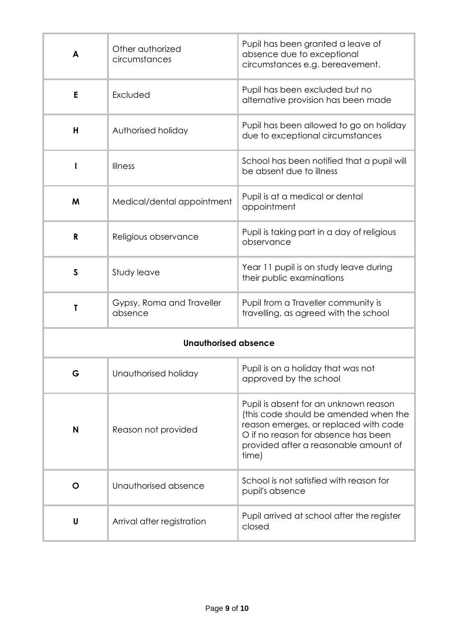| A            | Other authorized<br>circumstances    | Pupil has been granted a leave of<br>absence due to exceptional<br>circumstances e.g. bereavement.                                                                                                               |  |
|--------------|--------------------------------------|------------------------------------------------------------------------------------------------------------------------------------------------------------------------------------------------------------------|--|
| E            | Excluded                             | Pupil has been excluded but no<br>alternative provision has been made                                                                                                                                            |  |
| Н            | Authorised holiday                   | Pupil has been allowed to go on holiday<br>due to exceptional circumstances                                                                                                                                      |  |
| H            | Illness                              | School has been notified that a pupil will<br>be absent due to illness                                                                                                                                           |  |
| W            | Medical/dental appointment           | Pupil is at a medical or dental<br>appointment                                                                                                                                                                   |  |
| $\mathbf R$  | Religious observance                 | Pupil is taking part in a day of religious<br>observance                                                                                                                                                         |  |
| $\mathsf{s}$ | Study leave                          | Year 11 pupil is on study leave during<br>their public examinations                                                                                                                                              |  |
| Τ            | Gypsy, Roma and Traveller<br>absence | Pupil from a Traveller community is<br>travelling, as agreed with the school                                                                                                                                     |  |
|              | <b>Unauthorised absence</b>          |                                                                                                                                                                                                                  |  |
| G            | Unauthorised holiday                 | Pupil is on a holiday that was not<br>approved by the school                                                                                                                                                     |  |
| N            | Reason not provided                  | Pupil is absent for an unknown reason<br>(this code should be amended when the<br>reason emerges, or replaced with code<br>O if no reason for absence has been<br>provided after a reasonable amount of<br>time) |  |
| O            | Unauthorised absence                 | School is not satisfied with reason for<br>pupil's absence                                                                                                                                                       |  |
| U            | Arrival after registration           | Pupil arrived at school after the register<br>closed                                                                                                                                                             |  |